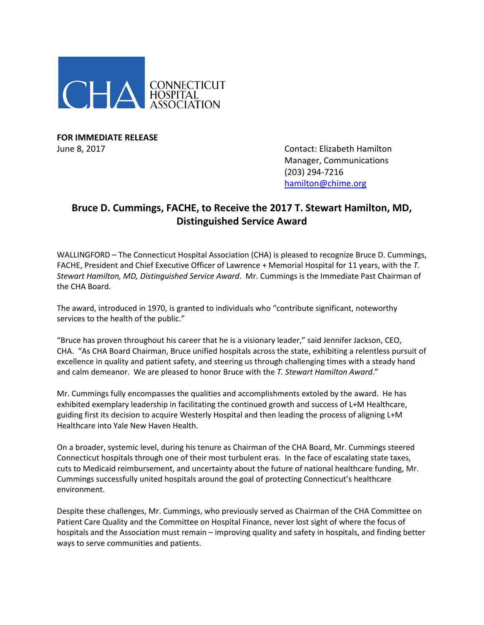

**FOR IMMEDIATE RELEASE**

June 8, 2017 Contact: Elizabeth Hamilton Manager, Communications (203) 294-7216 [hamilton@chime.org](mailto:hamilton@chime.org)

## **Bruce D. Cummings, FACHE, to Receive the 2017 T. Stewart Hamilton, MD, Distinguished Service Award**

WALLINGFORD – The Connecticut Hospital Association (CHA) is pleased to recognize Bruce D. Cummings, FACHE, President and Chief Executive Officer of Lawrence + Memorial Hospital for 11 years, with the *T. Stewart Hamilton, MD, Distinguished Service Award*. Mr. Cummings is the Immediate Past Chairman of the CHA Board.

The award, introduced in 1970, is granted to individuals who "contribute significant, noteworthy services to the health of the public."

"Bruce has proven throughout his career that he is a visionary leader," said Jennifer Jackson, CEO, CHA. "As CHA Board Chairman, Bruce unified hospitals across the state, exhibiting a relentless pursuit of excellence in quality and patient safety, and steering us through challenging times with a steady hand and calm demeanor. We are pleased to honor Bruce with the *T. Stewart Hamilton Award*."

Mr. Cummings fully encompasses the qualities and accomplishments extoled by the award. He has exhibited exemplary leadership in facilitating the continued growth and success of L+M Healthcare, guiding first its decision to acquire Westerly Hospital and then leading the process of aligning L+M Healthcare into Yale New Haven Health.

On a broader, systemic level, during his tenure as Chairman of the CHA Board, Mr. Cummings steered Connecticut hospitals through one of their most turbulent eras. In the face of escalating state taxes, cuts to Medicaid reimbursement, and uncertainty about the future of national healthcare funding, Mr. Cummings successfully united hospitals around the goal of protecting Connecticut's healthcare environment.

Despite these challenges, Mr. Cummings, who previously served as Chairman of the CHA Committee on Patient Care Quality and the Committee on Hospital Finance, never lost sight of where the focus of hospitals and the Association must remain – improving quality and safety in hospitals, and finding better ways to serve communities and patients.